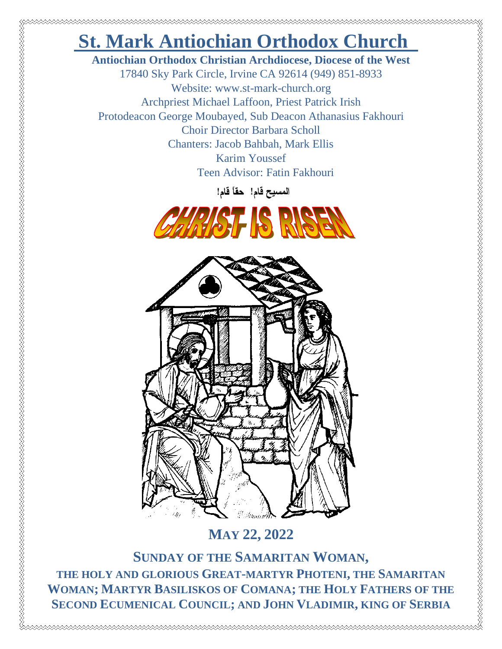# **St. Mark Antiochian Orthodox Church**

**Antiochian Orthodox Christian Archdiocese, Diocese of the West**

17840 Sky Park Circle, Irvine CA 92614 (949) 851-8933 Website: www.st-mark-church.org Archpriest Michael Laffoon, Priest Patrick Irish Protodeacon George Moubayed, Sub Deacon Athanasius Fakhouri Choir Director Barbara Scholl Chanters: Jacob Bahbah, Mark Ellis Karim Youssef Teen Advisor: Fatin Fakhouri

المسيح قام! حقاً قام!





### **MAY 22, 2022**

**SUNDAY OF THE SAMARITAN WOMAN, THE HOLY AND GLORIOUS GREAT-MARTYR PHOTENI, THE SAMARITAN WOMAN; MARTYR BASILISKOS OF COMANA; THE HOLY FATHERS OF THE SECOND ECUMENICAL COUNCIL; AND JOHN VLADIMIR, KING OF SERBIA**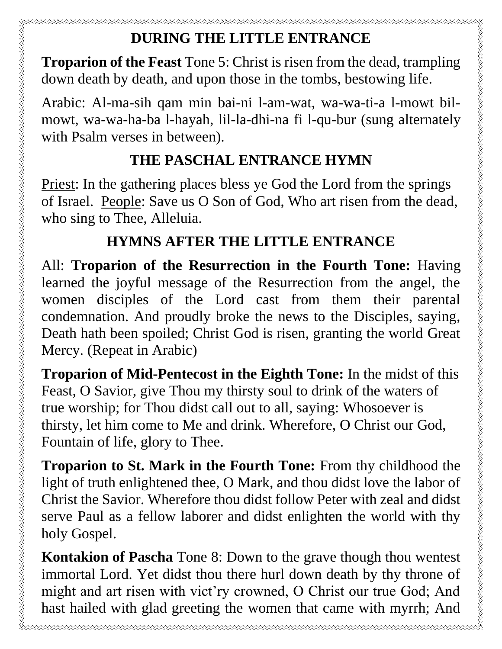# **DURING THE LITTLE ENTRANCE**

**Troparion of the Feast** Tone 5: Christ is risen from the dead, trampling down death by death, and upon those in the tombs, bestowing life.

Arabic: Al-ma-sih qam min bai-ni l-am-wat, wa-wa-ti-a l-mowt bilmowt, wa-wa-ha-ba l-hayah, lil-la-dhi-na fi l-qu-bur (sung alternately with Psalm verses in between).

# **THE PASCHAL ENTRANCE HYMN**

Priest: In the gathering places bless ye God the Lord from the springs of Israel. People: Save us O Son of God, Who art risen from the dead, who sing to Thee, Alleluia.

# **HYMNS AFTER THE LITTLE ENTRANCE**

All: **Troparion of the Resurrection in the Fourth Tone:** Having learned the joyful message of the Resurrection from the angel, the women disciples of the Lord cast from them their parental condemnation. And proudly broke the news to the Disciples, saying, Death hath been spoiled; Christ God is risen, granting the world Great Mercy. (Repeat in Arabic)

**Troparion of Mid-Pentecost in the Eighth Tone:** In the midst of this Feast, O Savior, give Thou my thirsty soul to drink of the waters of true worship; for Thou didst call out to all, saying: Whosoever is thirsty, let him come to Me and drink. Wherefore, O Christ our God, Fountain of life, glory to Thee.

**Troparion to St. Mark in the Fourth Tone:** From thy childhood the light of truth enlightened thee, O Mark, and thou didst love the labor of Christ the Savior. Wherefore thou didst follow Peter with zeal and didst serve Paul as a fellow laborer and didst enlighten the world with thy holy Gospel.

**Kontakion of Pascha** Tone 8: Down to the grave though thou wentest immortal Lord. Yet didst thou there hurl down death by thy throne of might and art risen with vict'ry crowned, O Christ our true God; And hast hailed with glad greeting the women that came with myrrh; And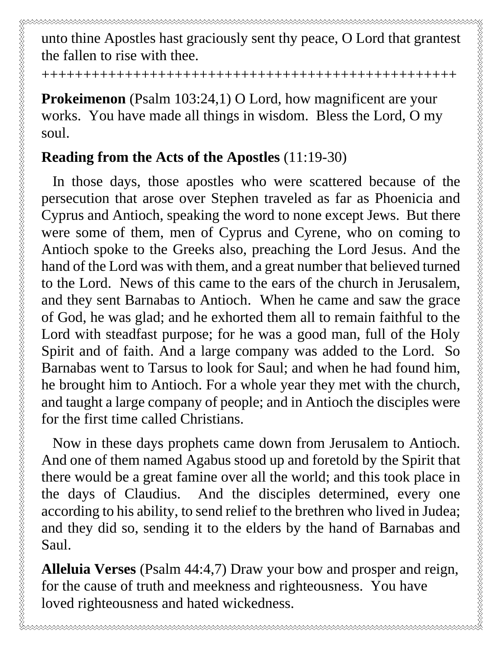unto thine Apostles hast graciously sent thy peace, O Lord that grantest the fallen to rise with thee.

++++++++++++++++++++++++++++++++++++++++++++++++++

**Prokeimenon** (Psalm 103:24,1) O Lord, how magnificent are your works. You have made all things in wisdom. Bless the Lord, O my soul.

# **Reading from the Acts of the Apostles** (11:19-30)

 In those days, those apostles who were scattered because of the persecution that arose over Stephen traveled as far as Phoenicia and Cyprus and Antioch, speaking the word to none except Jews. But there were some of them, men of Cyprus and Cyrene, who on coming to Antioch spoke to the Greeks also, preaching the Lord Jesus. And the hand of the Lord was with them, and a great number that believed turned to the Lord. News of this came to the ears of the church in Jerusalem, and they sent Barnabas to Antioch. When he came and saw the grace of God, he was glad; and he exhorted them all to remain faithful to the Lord with steadfast purpose; for he was a good man, full of the Holy Spirit and of faith. And a large company was added to the Lord. So Barnabas went to Tarsus to look for Saul; and when he had found him, he brought him to Antioch. For a whole year they met with the church, and taught a large company of people; and in Antioch the disciples were for the first time called Christians.

 Now in these days prophets came down from Jerusalem to Antioch. And one of them named Agabus stood up and foretold by the Spirit that there would be a great famine over all the world; and this took place in the days of Claudius. And the disciples determined, every one according to his ability, to send relief to the brethren who lived in Judea; and they did so, sending it to the elders by the hand of Barnabas and Saul.

**Alleluia Verses** (Psalm 44:4,7) Draw your bow and prosper and reign, for the cause of truth and meekness and righteousness. You have loved righteousness and hated wickedness.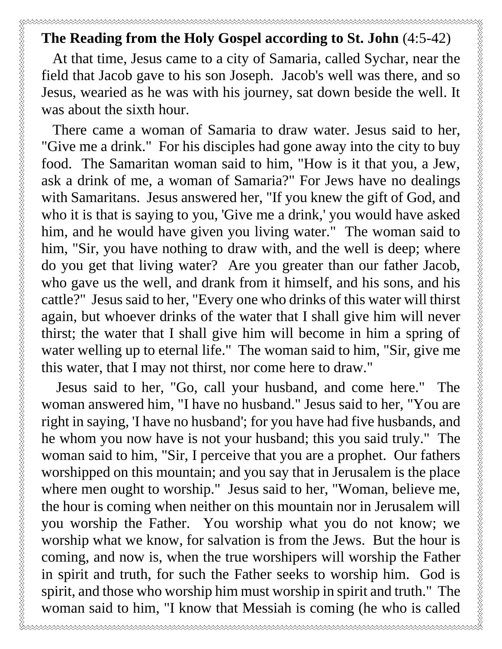### **The Reading from the Holy Gospel according to St. John** (4:5-42)

 At that time, Jesus came to a city of Samaria, called Sychar, near the field that Jacob gave to his son Joseph. Jacob's well was there, and so Jesus, wearied as he was with his journey, sat down beside the well. It was about the sixth hour.

 There came a woman of Samaria to draw water. Jesus said to her, "Give me a drink." For his disciples had gone away into the city to buy food. The Samaritan woman said to him, "How is it that you, a Jew, ask a drink of me, a woman of Samaria?" For Jews have no dealings with Samaritans. Jesus answered her, "If you knew the gift of God, and who it is that is saying to you, 'Give me a drink,' you would have asked him, and he would have given you living water." The woman said to him, "Sir, you have nothing to draw with, and the well is deep; where do you get that living water? Are you greater than our father Jacob, who gave us the well, and drank from it himself, and his sons, and his cattle?" Jesus said to her, "Every one who drinks of this water will thirst again, but whoever drinks of the water that I shall give him will never thirst; the water that I shall give him will become in him a spring of water welling up to eternal life." The woman said to him, "Sir, give me this water, that I may not thirst, nor come here to draw."

 Jesus said to her, "Go, call your husband, and come here." The woman answered him, "I have no husband." Jesus said to her, "You are right in saying, 'I have no husband'; for you have had five husbands, and he whom you now have is not your husband; this you said truly." The woman said to him, "Sir, I perceive that you are a prophet. Our fathers worshipped on this mountain; and you say that in Jerusalem is the place where men ought to worship." Jesus said to her, "Woman, believe me, the hour is coming when neither on this mountain nor in Jerusalem will you worship the Father. You worship what you do not know; we worship what we know, for salvation is from the Jews. But the hour is coming, and now is, when the true worshipers will worship the Father in spirit and truth, for such the Father seeks to worship him. God is spirit, and those who worship him must worship in spirit and truth." The woman said to him, "I know that Messiah is coming (he who is called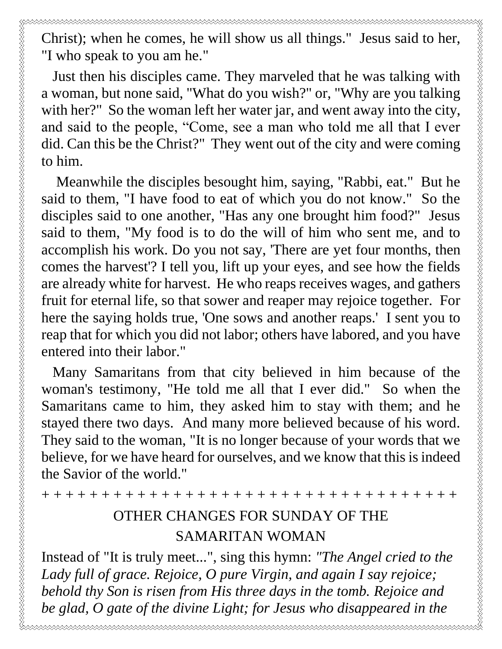Christ); when he comes, he will show us all things." Jesus said to her, "I who speak to you am he."

 Just then his disciples came. They marveled that he was talking with a woman, but none said, "What do you wish?" or, "Why are you talking with her?" So the woman left her water jar, and went away into the city, and said to the people, "Come, see a man who told me all that I ever did. Can this be the Christ?" They went out of the city and were coming to him.

 Meanwhile the disciples besought him, saying, "Rabbi, eat." But he said to them, "I have food to eat of which you do not know." So the disciples said to one another, "Has any one brought him food?" Jesus said to them, "My food is to do the will of him who sent me, and to accomplish his work. Do you not say, 'There are yet four months, then comes the harvest'? I tell you, lift up your eyes, and see how the fields are already white for harvest. He who reaps receives wages, and gathers fruit for eternal life, so that sower and reaper may rejoice together. For here the saying holds true, 'One sows and another reaps.' I sent you to reap that for which you did not labor; others have labored, and you have entered into their labor."

 Many Samaritans from that city believed in him because of the woman's testimony, "He told me all that I ever did." So when the Samaritans came to him, they asked him to stay with them; and he stayed there two days. And many more believed because of his word. They said to the woman, "It is no longer because of your words that we believe, for we have heard for ourselves, and we know that this is indeed the Savior of the world."

+ + + + + + + + + + + + + + + + + + + + + + + + + + + + + + + + + + + OTHER CHANGES FOR SUNDAY OF THE SAMARITAN WOMAN

Instead of "It is truly meet...", sing this hymn: *"The Angel cried to the Lady full of grace. Rejoice, O pure Virgin, and again I say rejoice; behold thy Son is risen from His three days in the tomb. Rejoice and be glad, O gate of the divine Light; for Jesus who disappeared in the*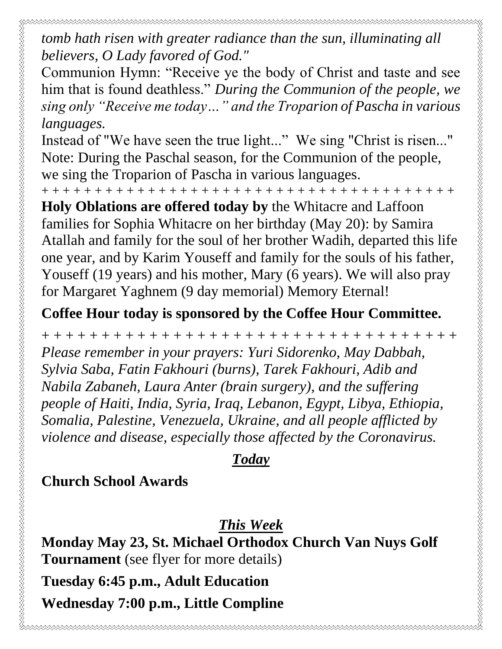*tomb hath risen with greater radiance than the sun, illuminating all believers, O Lady favored of God."*

Communion Hymn: "Receive ye the body of Christ and taste and see him that is found deathless." *During the Communion of the people, we sing only "Receive me today…" and the Troparion of Pascha in various languages.*

Instead of "We have seen the true light..." We sing "Christ is risen..." Note: During the Paschal season, for the Communion of the people, we sing the Troparion of Pascha in various languages.

+ + + + + + + + + + + + + + + + + + + + + + + + + + + + + + + + + + + + + + + **Holy Oblations are offered today by** the Whitacre and Laffoon families for Sophia Whitacre on her birthday (May 20): by Samira Atallah and family for the soul of her brother Wadih, departed this life one year, and by Karim Youseff and family for the souls of his father, Youseff (19 years) and his mother, Mary (6 years). We will also pray for Margaret Yaghnem (9 day memorial) Memory Eternal!

### **Coffee Hour today is sponsored by the Coffee Hour Committee.**

+ + + + + + + + + + + + + + + + + + + + + + + + + + + + + + + + + + + *Please remember in your prayers: Yuri Sidorenko, May Dabbah, Sylvia Saba, Fatin Fakhouri (burns), Tarek Fakhouri, Adib and Nabila Zabaneh, Laura Anter (brain surgery), and the suffering people of Haiti, India, Syria, Iraq, Lebanon, Egypt, Libya, Ethiopia, Somalia, Palestine, Venezuela, Ukraine, and all people afflicted by violence and disease, especially those affected by the Coronavirus.*

### *Today*

### **Church School Awards**

## *This Week*

**Monday May 23, St. Michael Orthodox Church Van Nuys Golf Tournament** (see flyer for more details)

**Tuesday 6:45 p.m., Adult Education Wednesday 7:00 p.m., Little Compline**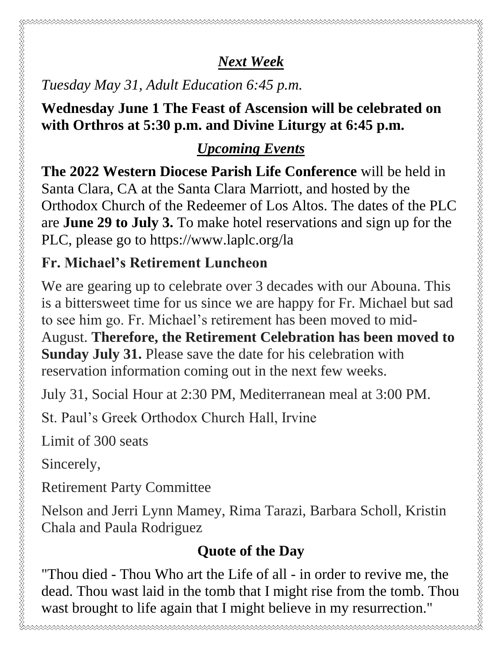# *Next Week*

*Tuesday May 31, Adult Education 6:45 p.m.*

# **Wednesday June 1 The Feast of Ascension will be celebrated on with Orthros at 5:30 p.m. and Divine Liturgy at 6:45 p.m.**

# *Upcoming Events*

**The 2022 Western Diocese Parish Life Conference** will be held in Santa Clara, CA at the Santa Clara Marriott, and hosted by the Orthodox Church of the Redeemer of Los Altos. The dates of the PLC are **June 29 to July 3.** To make hotel reservations and sign up for the PLC, please go to https://www.laplc.org/la

# **Fr. Michael's Retirement Luncheon**

We are gearing up to celebrate over 3 decades with our Abouna. This is a bittersweet time for us since we are happy for Fr. Michael but sad to see him go. Fr. Michael's retirement has been moved to midAugust. **Therefore, the Retirement Celebration has been moved to Sunday July 31.** Please save the date for his celebration with reservation information coming out in the next few weeks.

July 31, Social Hour at 2:30 PM, Mediterranean meal at 3:00 PM.

St. Paul's Greek Orthodox Church Hall, Irvine

Limit of 300 seats

Sincerely,

Retirement Party Committee

Nelson and Jerri Lynn Mamey, Rima Tarazi, Barbara Scholl, Kristin Chala and Paula Rodriguez

# **Quote of the Day**

"Thou died - Thou Who art the Life of all - in order to revive me, the dead. Thou wast laid in the tomb that I might rise from the tomb. Thou wast brought to life again that I might believe in my resurrection."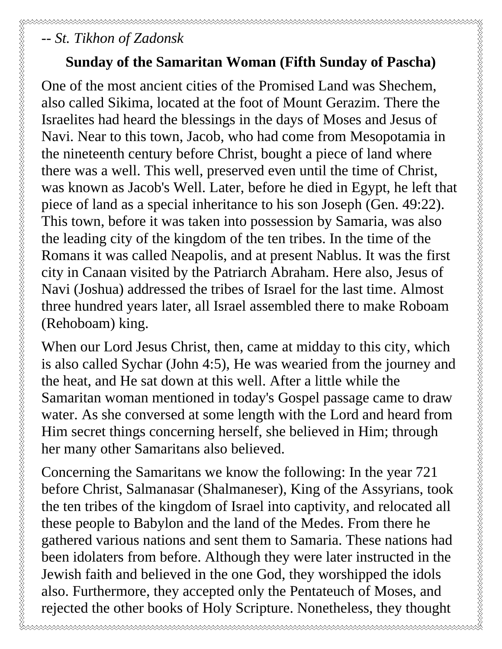## *-- St. Tikhon of Zadonsk*

### **Sunday of the Samaritan Woman (Fifth Sunday of Pascha)**

One of the most ancient cities of the Promised Land was Shechem, also called Sikima, located at the foot of Mount Gerazim. There the Israelites had heard the blessings in the days of Moses and Jesus of Navi. Near to this town, Jacob, who had come from Mesopotamia in the nineteenth century before Christ, bought a piece of land where there was a well. This well, preserved even until the time of Christ, was known as Jacob's Well. Later, before he died in Egypt, he left that piece of land as a special inheritance to his son Joseph (Gen. 49:22). This town, before it was taken into possession by Samaria, was also the leading city of the kingdom of the ten tribes. In the time of the Romans it was called Neapolis, and at present Nablus. It was the first city in Canaan visited by the Patriarch Abraham. Here also, Jesus of Navi (Joshua) addressed the tribes of Israel for the last time. Almost three hundred years later, all Israel assembled there to make Roboam (Rehoboam) king.

When our Lord Jesus Christ, then, came at midday to this city, which is also called Sychar (John 4:5), He was wearied from the journey and the heat, and He sat down at this well. After a little while the Samaritan woman mentioned in today's Gospel passage came to draw water. As she conversed at some length with the Lord and heard from Him secret things concerning herself, she believed in Him; through her many other Samaritans also believed.

Concerning the Samaritans we know the following: In the year 721 before Christ, Salmanasar (Shalmaneser), King of the Assyrians, took the ten tribes of the kingdom of Israel into captivity, and relocated all these people to Babylon and the land of the Medes. From there he gathered various nations and sent them to Samaria. These nations had been idolaters from before. Although they were later instructed in the Jewish faith and believed in the one God, they worshipped the idols also. Furthermore, they accepted only the Pentateuch of Moses, and rejected the other books of Holy Scripture. Nonetheless, they thought